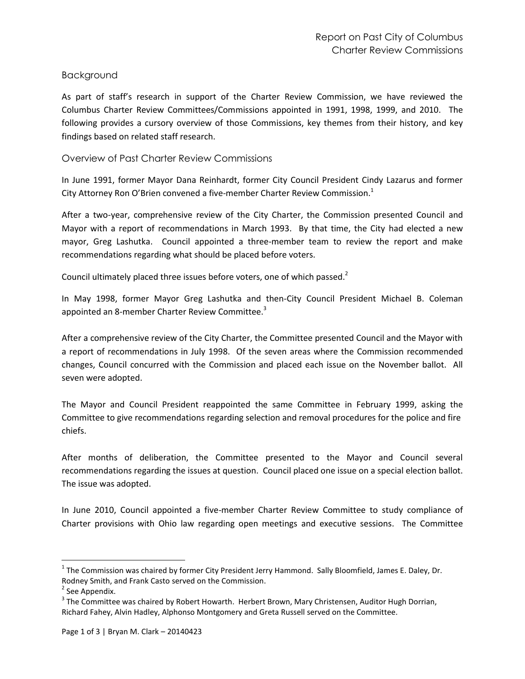# Background

As part of staff's research in support of the Charter Review Commission, we have reviewed the Columbus Charter Review Committees/Commissions appointed in 1991, 1998, 1999, and 2010. The following provides a cursory overview of those Commissions, key themes from their history, and key findings based on related staff research.

## Overview of Past Charter Review Commissions

In June 1991, former Mayor Dana Reinhardt, former City Council President Cindy Lazarus and former City Attorney Ron O'Brien convened a five-member Charter Review Commission. $^1$ 

After a two-year, comprehensive review of the City Charter, the Commission presented Council and Mayor with a report of recommendations in March 1993. By that time, the City had elected a new mayor, Greg Lashutka. Council appointed a three-member team to review the report and make recommendations regarding what should be placed before voters.

Council ultimately placed three issues before voters, one of which passed.<sup>2</sup>

In May 1998, former Mayor Greg Lashutka and then-City Council President Michael B. Coleman appointed an 8-member Charter Review Committee.<sup>3</sup>

After a comprehensive review of the City Charter, the Committee presented Council and the Mayor with a report of recommendations in July 1998. Of the seven areas where the Commission recommended changes, Council concurred with the Commission and placed each issue on the November ballot. All seven were adopted.

The Mayor and Council President reappointed the same Committee in February 1999, asking the Committee to give recommendations regarding selection and removal procedures for the police and fire chiefs.

After months of deliberation, the Committee presented to the Mayor and Council several recommendations regarding the issues at question. Council placed one issue on a special election ballot. The issue was adopted.

In June 2010, Council appointed a five-member Charter Review Committee to study compliance of Charter provisions with Ohio law regarding open meetings and executive sessions. The Committee

l

 $^1$  The Commission was chaired by former City President Jerry Hammond. Sally Bloomfield, James E. Daley, Dr. Rodney Smith, and Frank Casto served on the Commission.

<sup>&</sup>lt;sup>2</sup> See Appendix.

 $3$  The Committee was chaired by Robert Howarth. Herbert Brown, Mary Christensen, Auditor Hugh Dorrian, Richard Fahey, Alvin Hadley, Alphonso Montgomery and Greta Russell served on the Committee.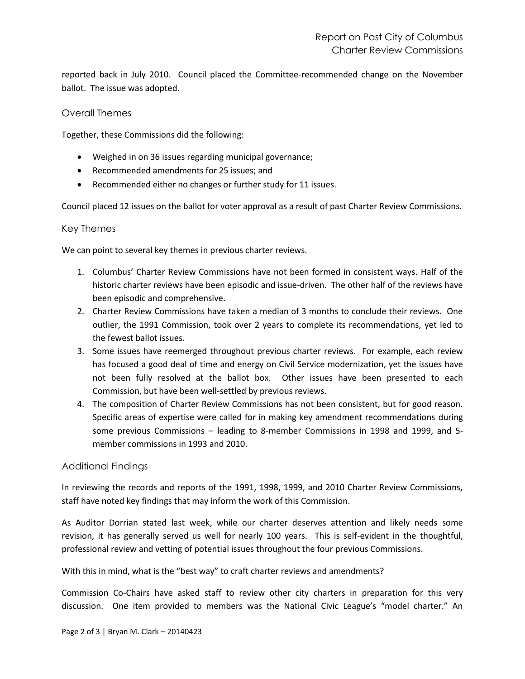reported back in July 2010. Council placed the Committee-recommended change on the November ballot. The issue was adopted.

## Overall Themes

Together, these Commissions did the following:

- Weighed in on 36 issues regarding municipal governance;
- Recommended amendments for 25 issues; and
- Recommended either no changes or further study for 11 issues.

Council placed 12 issues on the ballot for voter approval as a result of past Charter Review Commissions.

### Key Themes

We can point to several key themes in previous charter reviews.

- 1. Columbus' Charter Review Commissions have not been formed in consistent ways. Half of the historic charter reviews have been episodic and issue-driven. The other half of the reviews have been episodic and comprehensive.
- 2. Charter Review Commissions have taken a median of 3 months to conclude their reviews. One outlier, the 1991 Commission, took over 2 years to complete its recommendations, yet led to the fewest ballot issues.
- 3. Some issues have reemerged throughout previous charter reviews. For example, each review has focused a good deal of time and energy on Civil Service modernization, yet the issues have not been fully resolved at the ballot box. Other issues have been presented to each Commission, but have been well-settled by previous reviews.
- 4. The composition of Charter Review Commissions has not been consistent, but for good reason. Specific areas of expertise were called for in making key amendment recommendations during some previous Commissions – leading to 8-member Commissions in 1998 and 1999, and 5 member commissions in 1993 and 2010.

### Additional Findings

In reviewing the records and reports of the 1991, 1998, 1999, and 2010 Charter Review Commissions, staff have noted key findings that may inform the work of this Commission.

As Auditor Dorrian stated last week, while our charter deserves attention and likely needs some revision, it has generally served us well for nearly 100 years. This is self-evident in the thoughtful, professional review and vetting of potential issues throughout the four previous Commissions.

With this in mind, what is the "best way" to craft charter reviews and amendments?

Commission Co-Chairs have asked staff to review other city charters in preparation for this very discussion. One item provided to members was the National Civic League's "model charter." An